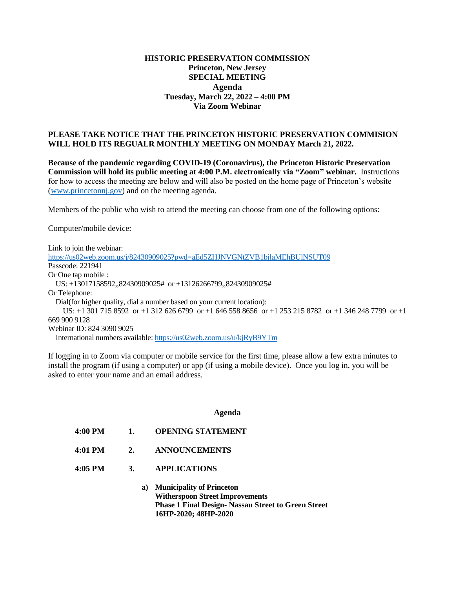## **HISTORIC PRESERVATION COMMISSION Princeton, New Jersey SPECIAL MEETING Agenda Tuesday, March 22, 2022 – 4:00 PM Via Zoom Webinar**

## **PLEASE TAKE NOTICE THAT THE PRINCETON HISTORIC PRESERVATION COMMISION WILL HOLD ITS REGUALR MONTHLY MEETING ON MONDAY March 21, 2022.**

**Because of the pandemic regarding COVID-19 (Coronavirus), the Princeton Historic Preservation Commission will hold its public meeting at 4:00 P.M. electronically via "Zoom" webinar.** Instructions for how to access the meeting are below and will also be posted on the home page of Princeton's website [\(www.princetonnj.gov\)](http://www.princetonnj.gov/) and on the meeting agenda.

Members of the public who wish to attend the meeting can choose from one of the following options:

Computer/mobile device:

Link to join the webinar: <https://us02web.zoom.us/j/82430909025?pwd=aEd5ZHJNVGNtZVB1bjlaMEhBUlNSUT09> Passcode: 221941 Or One tap mobile : US: +13017158592,,82430909025# or +13126266799,,82430909025# Or Telephone: Dial(for higher quality, dial a number based on your current location): US: +1 301 715 8592 or +1 312 626 6799 or +1 646 558 8656 or +1 253 215 8782 or +1 346 248 7799 or +1 669 900 9128 Webinar ID: 824 3090 9025 International numbers available[: https://us02web.zoom.us/u/kjRyB9YTm](https://us02web.zoom.us/u/kjRyB9YTm)

If logging in to Zoom via computer or mobile service for the first time, please allow a few extra minutes to install the program (if using a computer) or app (if using a mobile device). Once you log in, you will be asked to enter your name and an email address.

## **Agenda**

- **4:00 PM 1. OPENING STATEMENT**
- **4:01 PM 2. ANNOUNCEMENTS**
- **4:05 PM 3. APPLICATIONS**
	- **a) Municipality of Princeton Witherspoon Street Improvements Phase 1 Final Design- Nassau Street to Green Street 16HP-2020; 48HP-2020**